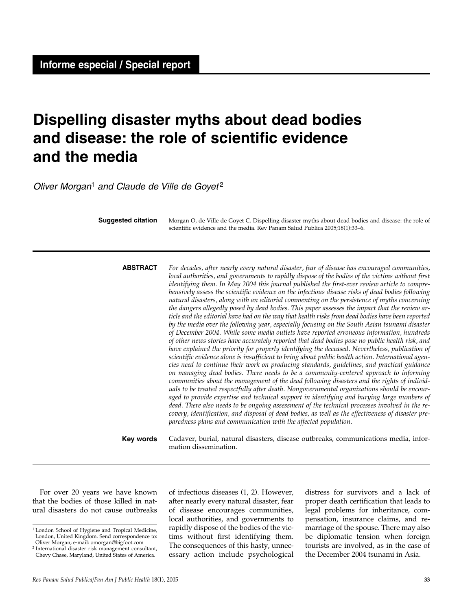# **Dispelling disaster myths about dead bodies and disease: the role of scientific evidence and the media**

Oliver Morgan<sup>1</sup> and Claude de Ville de Govet<sup>2</sup>

| <b>Suggested citation</b> |                 | Morgan O, de Ville de Goyet C. Dispelling disaster myths about dead bodies and disease: the role of<br>scientific evidence and the media. Rev Panam Salud Publica 2005;18(1):33-6.                                                                                                                                                                                                                                                                                                                                                                                                                                                                                                                                                                                                                                                                                                                                                                                                                                                                                                                                                                                                                                                                                                                                                                                                                                                                                                                                                                                                                                                                                                                                                                                                                                                                                                                                                                                                       |
|---------------------------|-----------------|------------------------------------------------------------------------------------------------------------------------------------------------------------------------------------------------------------------------------------------------------------------------------------------------------------------------------------------------------------------------------------------------------------------------------------------------------------------------------------------------------------------------------------------------------------------------------------------------------------------------------------------------------------------------------------------------------------------------------------------------------------------------------------------------------------------------------------------------------------------------------------------------------------------------------------------------------------------------------------------------------------------------------------------------------------------------------------------------------------------------------------------------------------------------------------------------------------------------------------------------------------------------------------------------------------------------------------------------------------------------------------------------------------------------------------------------------------------------------------------------------------------------------------------------------------------------------------------------------------------------------------------------------------------------------------------------------------------------------------------------------------------------------------------------------------------------------------------------------------------------------------------------------------------------------------------------------------------------------------------|
|                           | <b>ABSTRACT</b> | For decades, after nearly every natural disaster, fear of disease has encouraged communities,<br>local authorities, and governments to rapidly dispose of the bodies of the victims without first<br>identifying them. In May 2004 this journal published the first-ever review article to compre-<br>hensively assess the scientific evidence on the infectious disease risks of dead bodies following<br>natural disasters, along with an editorial commenting on the persistence of myths concerning<br>the dangers allegedly posed by dead bodies. This paper assesses the impact that the review ar-<br>ticle and the editorial have had on the way that health risks from dead bodies have been reported<br>by the media over the following year, especially focusing on the South Asian tsunami disaster<br>of December 2004. While some media outlets have reported erroneous information, hundreds<br>of other news stories have accurately reported that dead bodies pose no public health risk, and<br>have explained the priority for properly identifying the deceased. Nevertheless, publication of<br>scientific evidence alone is insufficient to bring about public health action. International agen-<br>cies need to continue their work on producing standards, guidelines, and practical guidance<br>on managing dead bodies. There needs to be a community-centered approach to informing<br>communities about the management of the dead following disasters and the rights of individ-<br>uals to be treated respectfully after death. Nongovernmental organizations should be encour-<br>aged to provide expertise and technical support in identifying and burying large numbers of<br>dead. There also needs to be ongoing assessment of the technical processes involved in the re-<br>covery, identification, and disposal of dead bodies, as well as the effectiveness of disaster pre-<br>paredness plans and communication with the affected population. |
|                           | Key words       | Cadaver, burial, natural disasters, disease outbreaks, communications media, infor-<br>mation dissemination.                                                                                                                                                                                                                                                                                                                                                                                                                                                                                                                                                                                                                                                                                                                                                                                                                                                                                                                                                                                                                                                                                                                                                                                                                                                                                                                                                                                                                                                                                                                                                                                                                                                                                                                                                                                                                                                                             |

For over 20 years we have known that the bodies of those killed in natural disasters do not cause outbreaks of infectious diseases (1, 2). However, after nearly every natural disaster, fear of disease encourages communities, local authorities, and governments to rapidly dispose of the bodies of the victims without first identifying them. The consequences of this hasty, unnecessary action include psychological

distress for survivors and a lack of proper death certification that leads to legal problems for inheritance, compensation, insurance claims, and remarriage of the spouse. There may also be diplomatic tension when foreign tourists are involved, as in the case of the December 2004 tsunami in Asia.

<sup>1</sup> London School of Hygiene and Tropical Medicine, London, United Kingdom. Send correspondence to: Oliver Morgan; e-mail: omorgan@bigfoot.com

<sup>2</sup> International disaster risk management consultant, Chevy Chase, Maryland, United States of America.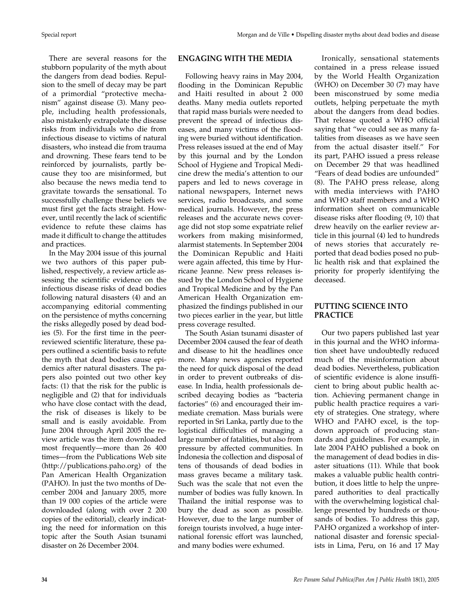There are several reasons for the stubborn popularity of the myth about the dangers from dead bodies. Repulsion to the smell of decay may be part of a primordial "protective mechanism" against disease (3). Many people, including health professionals, also mistakenly extrapolate the disease risks from individuals who die from infectious disease to victims of natural disasters, who instead die from trauma and drowning. These fears tend to be reinforced by journalists, partly because they too are misinformed, but also because the news media tend to gravitate towards the sensational. To successfully challenge these beliefs we must first get the facts straight. However, until recently the lack of scientific evidence to refute these claims has made it difficult to change the attitudes and practices.

In the May 2004 issue of this journal we two authors of this paper published, respectively, a review article assessing the scientific evidence on the infectious disease risks of dead bodies following natural disasters (4) and an accompanying editorial commenting on the persistence of myths concerning the risks allegedly posed by dead bodies (5). For the first time in the peerreviewed scientific literature, these papers outlined a scientific basis to refute the myth that dead bodies cause epidemics after natural disasters. The papers also pointed out two other key facts: (1) that the risk for the public is negligible and (2) that for individuals who have close contact with the dead, the risk of diseases is likely to be small and is easily avoidable. From June 2004 through April 2005 the review article was the item downloaded most frequently—more than 26 400 times—from the Publications Web site (http://publications.paho.org) of the Pan American Health Organization (PAHO). In just the two months of December 2004 and January 2005, more than 19 000 copies of the article were downloaded (along with over 2 200 copies of the editorial), clearly indicating the need for information on this topic after the South Asian tsunami disaster on 26 December 2004.

### **ENGAGING WITH THE MEDIA**

Following heavy rains in May 2004, flooding in the Dominican Republic and Haiti resulted in about 2 000 deaths. Many media outlets reported that rapid mass burials were needed to prevent the spread of infectious diseases, and many victims of the flooding were buried without identification. Press releases issued at the end of May by this journal and by the London School of Hygiene and Tropical Medicine drew the media's attention to our papers and led to news coverage in national newspapers, Internet news services, radio broadcasts, and some medical journals. However, the press releases and the accurate news coverage did not stop some expatriate relief workers from making misinformed, alarmist statements. In September 2004 the Dominican Republic and Haiti were again affected, this time by Hurricane Jeanne. New press releases issued by the London School of Hygiene and Tropical Medicine and by the Pan American Health Organization emphasized the findings published in our two pieces earlier in the year, but little press coverage resulted.

The South Asian tsunami disaster of December 2004 caused the fear of death and disease to hit the headlines once more. Many news agencies reported the need for quick disposal of the dead in order to prevent outbreaks of disease. In India, health professionals described decaying bodies as "bacteria factories" (6) and encouraged their immediate cremation. Mass burials were reported in Sri Lanka, partly due to the logistical difficulties of managing a large number of fatalities, but also from pressure by affected communities. In Indonesia the collection and disposal of tens of thousands of dead bodies in mass graves became a military task. Such was the scale that not even the number of bodies was fully known. In Thailand the initial response was to bury the dead as soon as possible. However, due to the large number of foreign tourists involved, a huge international forensic effort was launched, and many bodies were exhumed.

Ironically, sensational statements contained in a press release issued by the World Health Organization (WHO) on December 30 (7) may have been misconstrued by some media outlets, helping perpetuate the myth about the dangers from dead bodies. That release quoted a WHO official saying that "we could see as many fatalities from diseases as we have seen from the actual disaster itself." For its part, PAHO issued a press release on December 29 that was headlined "Fears of dead bodies are unfounded" (8). The PAHO press release, along with media interviews with PAHO and WHO staff members and a WHO information sheet on communicable disease risks after flooding (9, 10) that drew heavily on the earlier review article in this journal (4) led to hundreds of news stories that accurately reported that dead bodies posed no public health risk and that explained the priority for properly identifying the deceased.

### **PUTTING SCIENCE INTO PRACTICE**

Our two papers published last year in this journal and the WHO information sheet have undoubtedly reduced much of the misinformation about dead bodies. Nevertheless, publication of scientific evidence is alone insufficient to bring about public health action. Achieving permanent change in public health practice requires a variety of strategies. One strategy, where WHO and PAHO excel, is the topdown approach of producing standards and guidelines. For example, in late 2004 PAHO published a book on the management of dead bodies in disaster situations (11). While that book makes a valuable public health contribution, it does little to help the unprepared authorities to deal practically with the overwhelming logistical challenge presented by hundreds or thousands of bodies. To address this gap, PAHO organized a workshop of international disaster and forensic specialists in Lima, Peru, on 16 and 17 May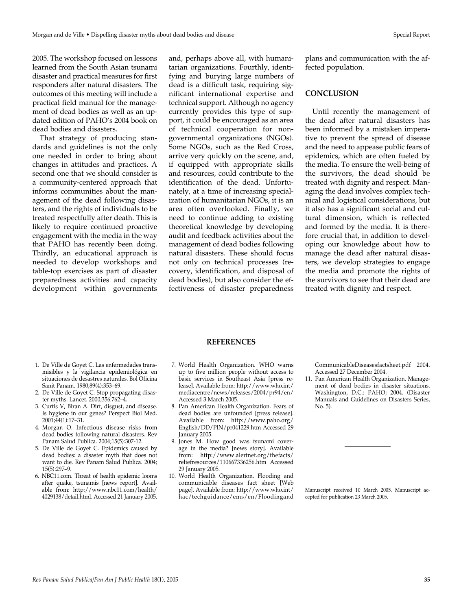2005. The workshop focused on lessons learned from the South Asian tsunami disaster and practical measures for first responders after natural disasters. The outcomes of this meeting will include a practical field manual for the management of dead bodies as well as an updated edition of PAHO's 2004 book on dead bodies and disasters.

That strategy of producing standards and guidelines is not the only one needed in order to bring about changes in attitudes and practices. A second one that we should consider is a community-centered approach that informs communities about the management of the dead following disasters, and the rights of individuals to be treated respectfully after death. This is likely to require continued proactive engagement with the media in the way that PAHO has recently been doing. Thirdly, an educational approach is needed to develop workshops and table-top exercises as part of disaster preparedness activities and capacity development within governments

and, perhaps above all, with humanitarian organizations. Fourthly, identifying and burying large numbers of dead is a difficult task, requiring significant international expertise and technical support. Although no agency currently provides this type of support, it could be encouraged as an area of technical cooperation for nongovernmental organizations (NGOs). Some NGOs, such as the Red Cross, arrive very quickly on the scene, and, if equipped with appropriate skills and resources, could contribute to the identification of the dead. Unfortunately, at a time of increasing specialization of humanitarian NGOs, it is an area often overlooked. Finally, we need to continue adding to existing theoretical knowledge by developing audit and feedback activities about the management of dead bodies following natural disasters. These should focus not only on technical processes (recovery, identification, and disposal of dead bodies), but also consider the effectiveness of disaster preparedness

plans and communication with the affected population.

#### **CONCLUSION**

Until recently the management of the dead after natural disasters has been informed by a mistaken imperative to prevent the spread of disease and the need to appease public fears of epidemics, which are often fueled by the media. To ensure the well-being of the survivors, the dead should be treated with dignity and respect. Managing the dead involves complex technical and logistical considerations, but it also has a significant social and cultural dimension, which is reflected and formed by the media. It is therefore crucial that, in addition to developing our knowledge about how to manage the dead after natural disasters, we develop strategies to engage the media and promote the rights of the survivors to see that their dead are treated with dignity and respect.

- 1. De Ville de Goyet C. Las enfermedades transmisibles y la vigilancia epidemiológica en situaciones de desastres naturales. Bol Oficina
- Sanit Panam. 1980;89(4):353–69. 2. De Ville de Goyet C. Stop propagating disaster myths. Lancet. 2000;356:762–4.
- 3. Curtis V, Biran A. Dirt, disgust, and disease. Is hygiene in our genes? Perspect Biol Med. 2001;44(1):17–31.
- 4. Morgan O. Infectious disease risks from dead bodies following natural disasters. Rev Panam Salud Publica. 2004;15(5):307-12.
- 5. De Ville de Goyet C. Epidemics caused by dead bodies: a disaster myth that does not want to die. Rev Panam Salud Publica. 2004;  $15(5) \cdot 297 - 9$
- 6. NBC11.com. Threat of health epidemic looms after quake, tsunamis [news report]. Available from: http://www.nbc11.com/health/ 4029138/detail.html. Accessed 21 January 2005.

#### **REFERENCES**

- 7. World Health Organization. WHO warns up to five million people without access to basic services in Southeast Asia [press release]. Available from: http://www.who.int/ mediacentre/news/releases/2004/pr94/en/ Accessed 3 March 2005.
- 8. Pan American Health Organization. Fears of dead bodies are unfounded [press release]. Available from: http://www.paho.org/ English/DD/PIN/pr041229.htm Accessed 29 January 2005.
- 9. Jones M. How good was tsunami coverage in the media? [news story]. Available from: http://www.alertnet.org/thefacts/ reliefresources/110667336256.htm Accessed 29 January 2005.
- 10. World Health Organization. Flooding and communicable diseases fact sheet [Web page]. Available from: http://www.who.int/ hac/techguidance/ems/en/Floodingand

CommunicableDiseasesfactsheet.pdf 2004. Accessed 27 December 2004.

11. Pan American Health Organization. Management of dead bodies in disaster situations. Washington, D.C.: PAHO; 2004. (Disaster Manuals and Guidelines on Disasters Series, No. 5).

Manuscript received 10 March 2005. Manuscript accepted for publication 23 March 2005.